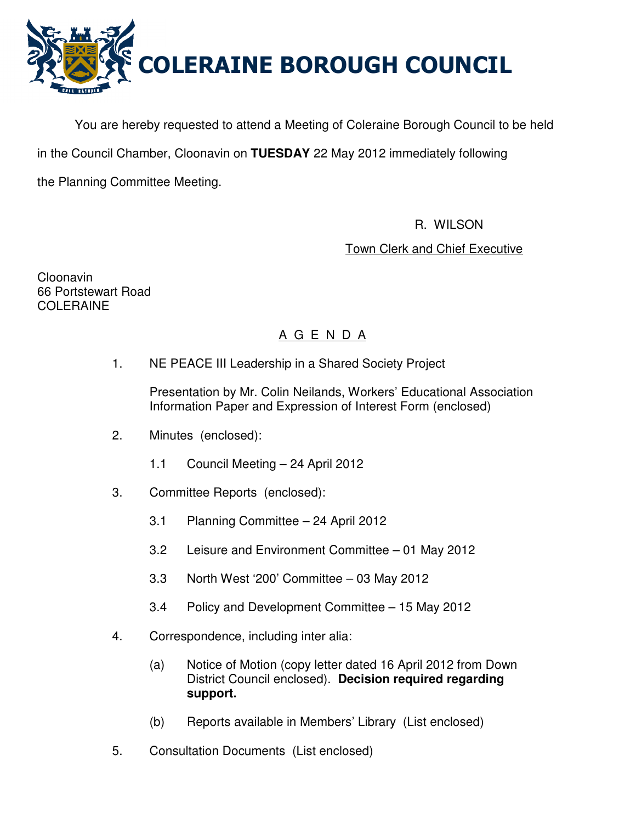

You are hereby requested to attend a Meeting of Coleraine Borough Council to be held

in the Council Chamber, Cloonavin on **TUESDAY** 22 May 2012 immediately following

the Planning Committee Meeting.

R. WILSON

Town Clerk and Chief Executive

Cloonavin 66 Portstewart Road COLERAINE

# A G E N D A

1. NE PEACE III Leadership in a Shared Society Project

 Presentation by Mr. Colin Neilands, Workers' Educational Association Information Paper and Expression of Interest Form (enclosed)

- 2. Minutes (enclosed):
	- 1.1 Council Meeting 24 April 2012
- 3. Committee Reports (enclosed):
	- 3.1 Planning Committee 24 April 2012
	- 3.2 Leisure and Environment Committee 01 May 2012
	- 3.3 North West '200' Committee 03 May 2012
	- 3.4 Policy and Development Committee 15 May 2012
- 4. Correspondence, including inter alia:
	- (a) Notice of Motion (copy letter dated 16 April 2012 from Down District Council enclosed). **Decision required regarding support.**
	- (b) Reports available in Members' Library (List enclosed)
- 5. Consultation Documents (List enclosed)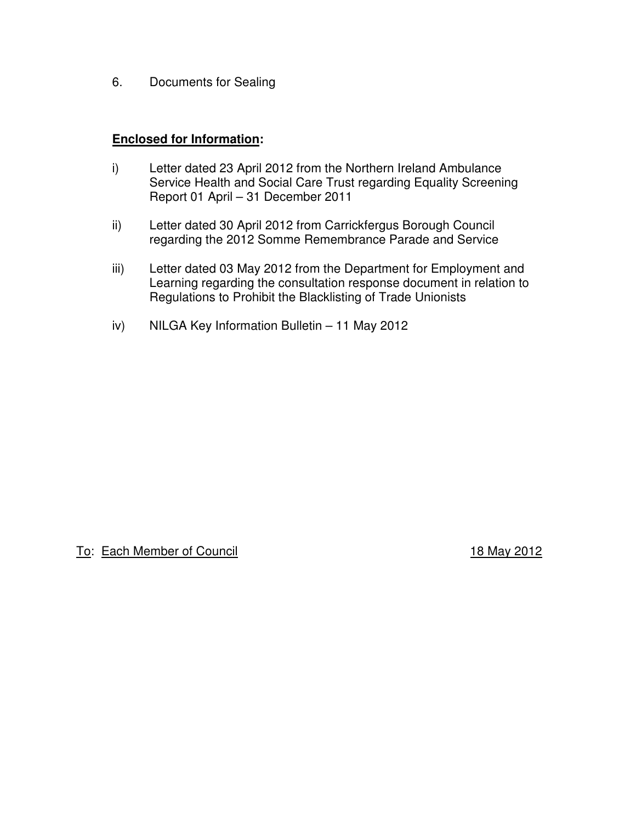6. Documents for Sealing

# **Enclosed for Information:**

- i) Letter dated 23 April 2012 from the Northern Ireland Ambulance Service Health and Social Care Trust regarding Equality Screening Report 01 April – 31 December 2011
- ii) Letter dated 30 April 2012 from Carrickfergus Borough Council regarding the 2012 Somme Remembrance Parade and Service
- iii) Letter dated 03 May 2012 from the Department for Employment and Learning regarding the consultation response document in relation to Regulations to Prohibit the Blacklisting of Trade Unionists
- iv) NILGA Key Information Bulletin 11 May 2012

# To: Each Member of Council **18 May 2012**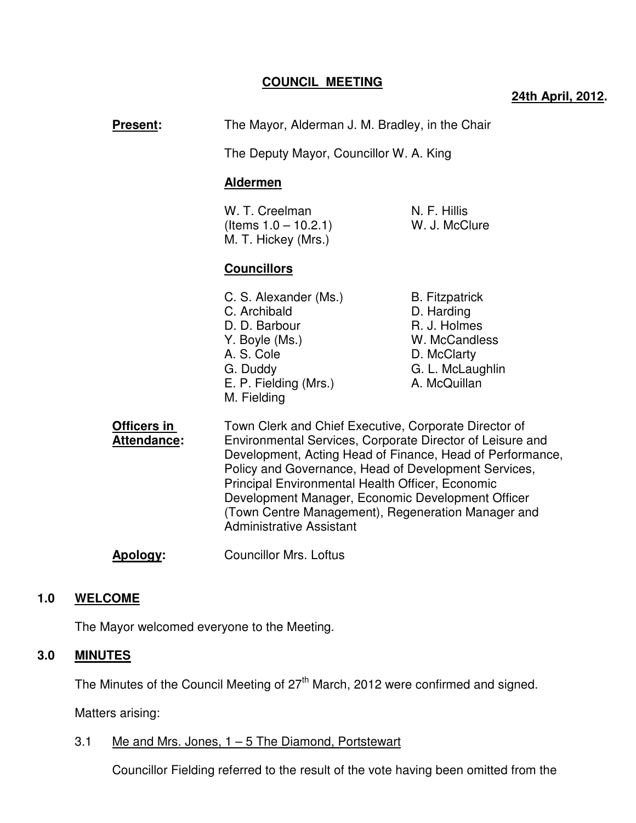# **COUNCIL MEETING**

# **24th April, 2012.**

| <b>Present:</b>                   | The Mayor, Alderman J. M. Bradley, in the Chair<br>The Deputy Mayor, Councillor W. A. King                                                                                                                                                                                                                                                                                                                                                |                                                                                                                         |
|-----------------------------------|-------------------------------------------------------------------------------------------------------------------------------------------------------------------------------------------------------------------------------------------------------------------------------------------------------------------------------------------------------------------------------------------------------------------------------------------|-------------------------------------------------------------------------------------------------------------------------|
|                                   |                                                                                                                                                                                                                                                                                                                                                                                                                                           |                                                                                                                         |
|                                   | <b>Aldermen</b>                                                                                                                                                                                                                                                                                                                                                                                                                           |                                                                                                                         |
|                                   | W. T. Creelman<br>(Items $1.0 - 10.2.1$ )<br>M. T. Hickey (Mrs.)                                                                                                                                                                                                                                                                                                                                                                          | N. F. Hillis<br>W. J. McClure                                                                                           |
|                                   | <b>Councillors</b>                                                                                                                                                                                                                                                                                                                                                                                                                        |                                                                                                                         |
|                                   | C. S. Alexander (Ms.)<br>C. Archibald<br>D. D. Barbour<br>Y. Boyle (Ms.)<br>A. S. Cole<br>G. Duddy<br>E. P. Fielding (Mrs.)<br>M. Fielding                                                                                                                                                                                                                                                                                                | <b>B.</b> Fitzpatrick<br>D. Harding<br>R. J. Holmes<br>W. McCandless<br>D. McClarty<br>G. L. McLaughlin<br>A. McQuillan |
| Officers in<br><b>Attendance:</b> | Town Clerk and Chief Executive, Corporate Director of<br>Environmental Services, Corporate Director of Leisure and<br>Development, Acting Head of Finance, Head of Performance,<br>Policy and Governance, Head of Development Services,<br>Principal Environmental Health Officer, Economic<br>Development Manager, Economic Development Officer<br>(Town Centre Management), Regeneration Manager and<br><b>Administrative Assistant</b> |                                                                                                                         |

**Apology:** Councillor Mrs. Loftus

# **1.0 WELCOME**

The Mayor welcomed everyone to the Meeting.

# **3.0 MINUTES**

The Minutes of the Council Meeting of 27<sup>th</sup> March, 2012 were confirmed and signed.

Matters arising:

# 3.1 Me and Mrs. Jones,  $1 - 5$  The Diamond, Portstewart

Councillor Fielding referred to the result of the vote having been omitted from the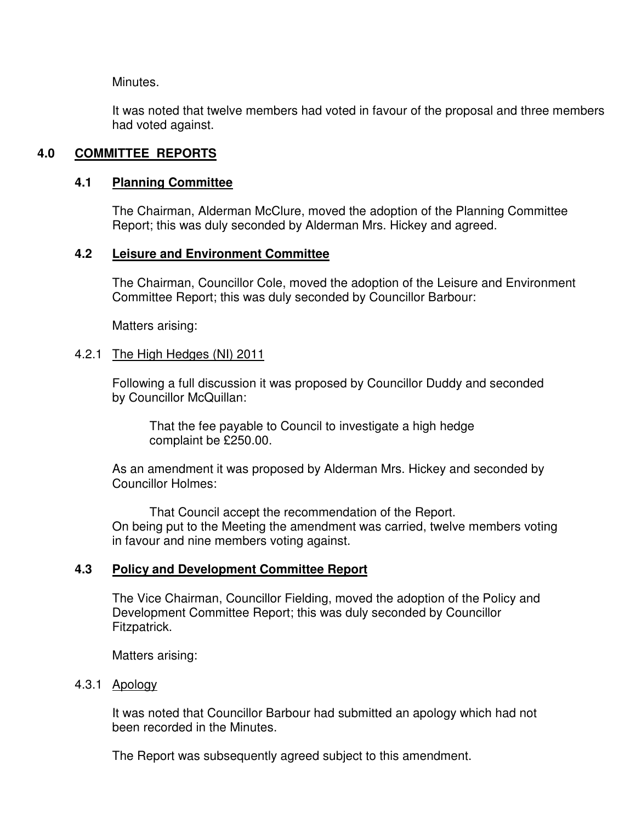Minutes.

It was noted that twelve members had voted in favour of the proposal and three members had voted against.

# **4.0 COMMITTEE REPORTS**

# **4.1 Planning Committee**

The Chairman, Alderman McClure, moved the adoption of the Planning Committee Report; this was duly seconded by Alderman Mrs. Hickey and agreed.

# **4.2 Leisure and Environment Committee**

The Chairman, Councillor Cole, moved the adoption of the Leisure and Environment Committee Report; this was duly seconded by Councillor Barbour:

Matters arising:

# 4.2.1 The High Hedges (NI) 2011

Following a full discussion it was proposed by Councillor Duddy and seconded by Councillor McQuillan:

 That the fee payable to Council to investigate a high hedge complaint be £250.00.

 As an amendment it was proposed by Alderman Mrs. Hickey and seconded by Councillor Holmes:

 That Council accept the recommendation of the Report. On being put to the Meeting the amendment was carried, twelve members voting in favour and nine members voting against.

# **4.3 Policy and Development Committee Report**

 The Vice Chairman, Councillor Fielding, moved the adoption of the Policy and Development Committee Report; this was duly seconded by Councillor Fitzpatrick.

Matters arising:

# 4.3.1 Apology

 It was noted that Councillor Barbour had submitted an apology which had not been recorded in the Minutes.

The Report was subsequently agreed subject to this amendment.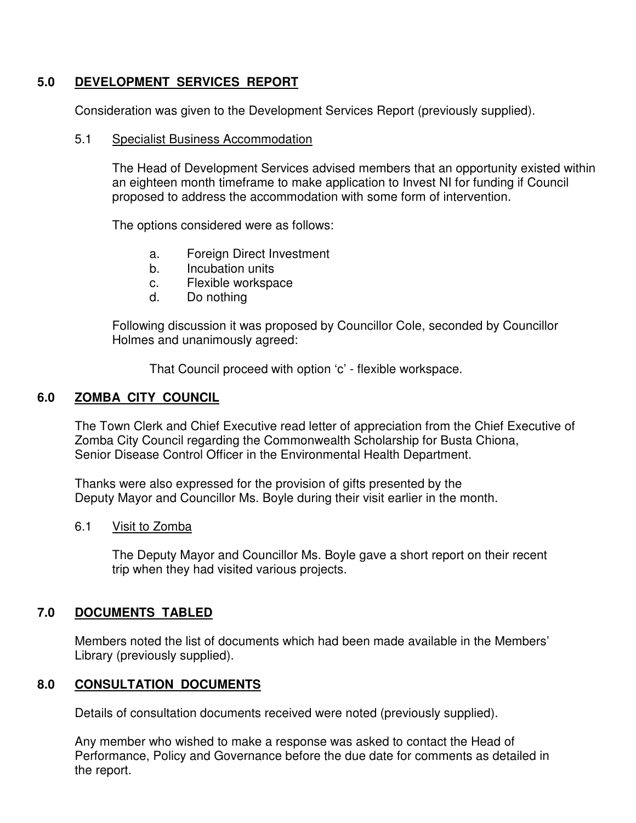# **5.0 DEVELOPMENT SERVICES REPORT**

Consideration was given to the Development Services Report (previously supplied).

# 5.1 Specialist Business Accommodation

The Head of Development Services advised members that an opportunity existed within an eighteen month timeframe to make application to Invest NI for funding if Council proposed to address the accommodation with some form of intervention.

The options considered were as follows:

- a. Foreign Direct Investment
- b. Incubation units
- c. Flexible workspace
- d. Do nothing

 Following discussion it was proposed by Councillor Cole, seconded by Councillor Holmes and unanimously agreed:

That Council proceed with option 'c' - flexible workspace.

# **6.0 ZOMBA CITY COUNCIL**

The Town Clerk and Chief Executive read letter of appreciation from the Chief Executive of Zomba City Council regarding the Commonwealth Scholarship for Busta Chiona, Senior Disease Control Officer in the Environmental Health Department.

Thanks were also expressed for the provision of gifts presented by the Deputy Mayor and Councillor Ms. Boyle during their visit earlier in the month.

# 6.1 Visit to Zomba

 The Deputy Mayor and Councillor Ms. Boyle gave a short report on their recent trip when they had visited various projects.

# **7.0 DOCUMENTS TABLED**

 Members noted the list of documents which had been made available in the Members' Library (previously supplied).

# **8.0 CONSULTATION DOCUMENTS**

Details of consultation documents received were noted (previously supplied).

 Any member who wished to make a response was asked to contact the Head of Performance, Policy and Governance before the due date for comments as detailed in the report.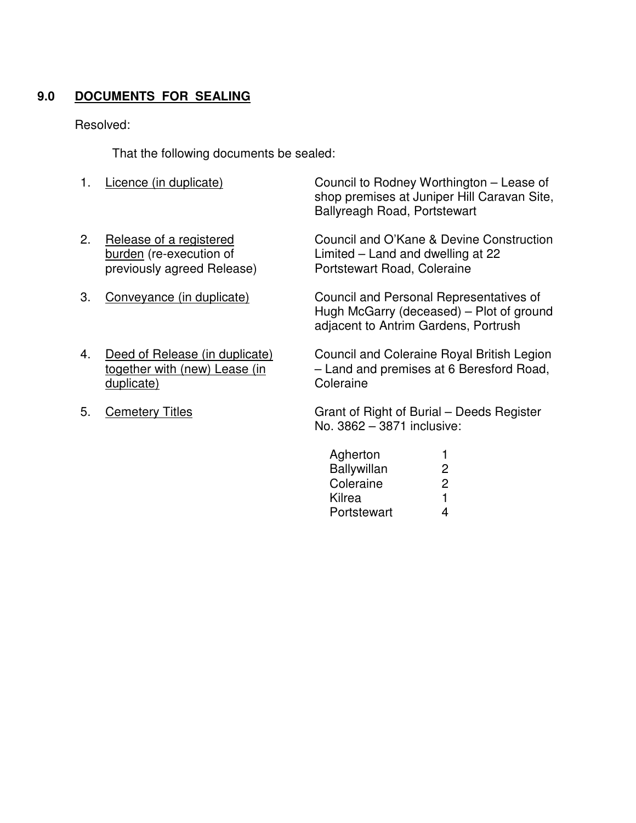# **9.0 DOCUMENTS FOR SEALING**

# Resolved:

That the following documents be sealed:

- 1. Licence (in duplicate) Council to Rodney Worthington Lease of shop premises at Juniper Hill Caravan Site, Ballyreagh Road, Portstewart 2. Release of a registered burden (re-execution of previously agreed Release) Council and O'Kane & Devine Construction Limited – Land and dwelling at 22 Portstewart Road, Coleraine 3. Conveyance (in duplicate) Council and Personal Representatives of Hugh McGarry (deceased) – Plot of ground adjacent to Antrim Gardens, Portrush 4. Deed of Release (in duplicate) together with (new) Lease (in duplicate) Council and Coleraine Royal British Legion – Land and premises at 6 Beresford Road, **Coleraine**
- 5. Cemetery Titles

Grant of Right of Burial – Deeds Register No. 3862 – 3871 inclusive:

| Agherton           |   |
|--------------------|---|
| <b>Ballywillan</b> | 2 |
| Coleraine          | 2 |
| Kilrea             | 1 |
| Portstewart        | Δ |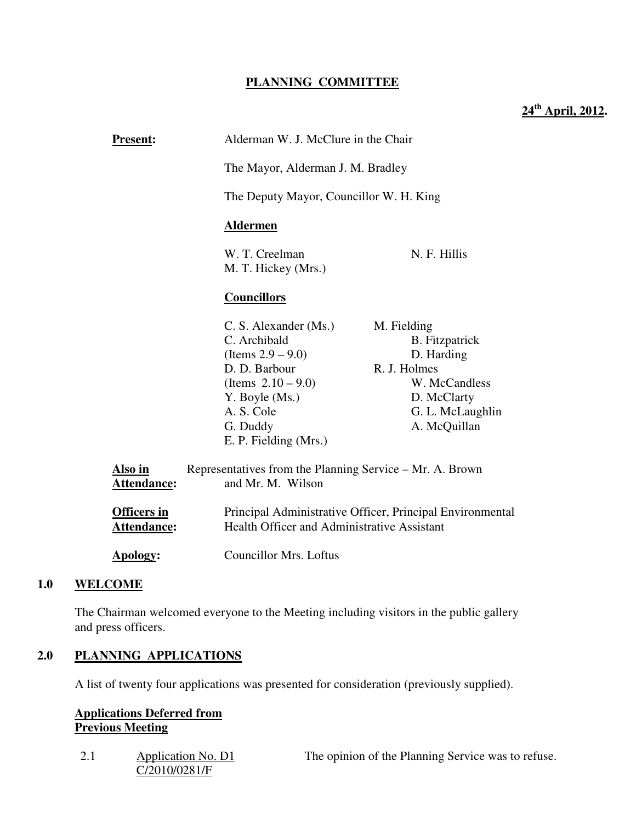# **PLANNING COMMITTEE**

**24th April, 2012.** 

| <b>Present:</b>                          |                                                                               | Alderman W. J. McClure in the Chair                                                                             |  |
|------------------------------------------|-------------------------------------------------------------------------------|-----------------------------------------------------------------------------------------------------------------|--|
|                                          |                                                                               | The Mayor, Alderman J. M. Bradley                                                                               |  |
|                                          | The Deputy Mayor, Councillor W. H. King                                       |                                                                                                                 |  |
|                                          | <b>Aldermen</b>                                                               |                                                                                                                 |  |
|                                          | W. T. Creelman<br>M. T. Hickey (Mrs.)                                         | N. F. Hillis                                                                                                    |  |
|                                          | <b>Councillors</b>                                                            |                                                                                                                 |  |
|                                          | C. S. Alexander (Ms.)                                                         | M. Fielding                                                                                                     |  |
|                                          | C. Archibald                                                                  | <b>B.</b> Fitzpatrick                                                                                           |  |
|                                          | (Items $2.9 - 9.0$ )                                                          | D. Harding                                                                                                      |  |
|                                          | D. D. Barbour                                                                 | R. J. Holmes                                                                                                    |  |
|                                          | (Items $2.10 - 9.0$ )                                                         | W. McCandless                                                                                                   |  |
|                                          | Y. Boyle (Ms.)                                                                | D. McClarty                                                                                                     |  |
|                                          | A. S. Cole                                                                    | G. L. McLaughlin                                                                                                |  |
|                                          | G. Duddy                                                                      | A. McQuillan                                                                                                    |  |
|                                          | E. P. Fielding (Mrs.)                                                         |                                                                                                                 |  |
| Also in<br><b>Attendance:</b>            | Representatives from the Planning Service - Mr. A. Brown<br>and Mr. M. Wilson |                                                                                                                 |  |
| <b>Officers in</b><br><b>Attendance:</b> |                                                                               | Principal Administrative Officer, Principal Environmental<br><b>Health Officer and Administrative Assistant</b> |  |

**Apology:** Councillor Mrs. Loftus

# **1.0 WELCOME**

The Chairman welcomed everyone to the Meeting including visitors in the public gallery and press officers.

# **2.0 PLANNING APPLICATIONS**

A list of twenty four applications was presented for consideration (previously supplied).

# **Applications Deferred from Previous Meeting**

| 2.1 | Application No. D1 | The opinion of the Planning Service was to refuse. |
|-----|--------------------|----------------------------------------------------|
|     | C/2010/0281/F      |                                                    |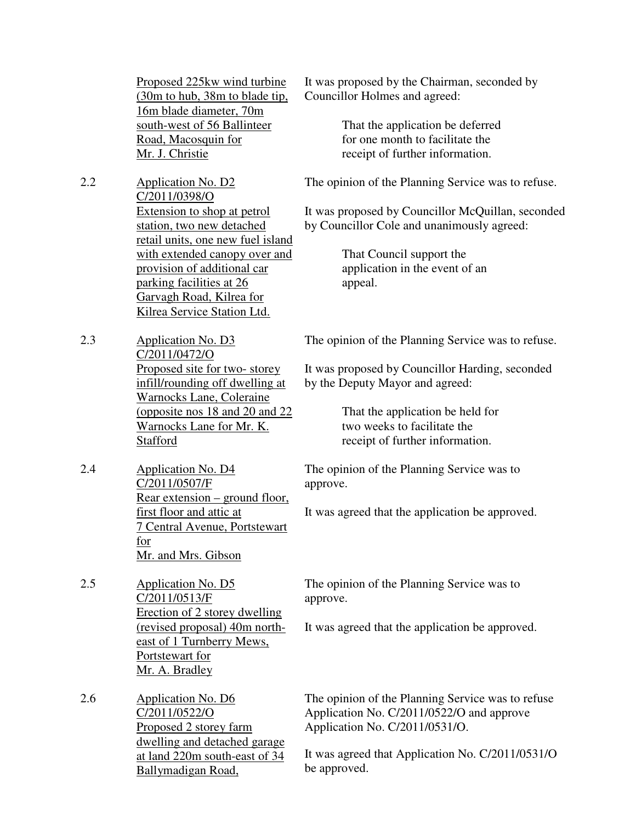Proposed 225kw wind turbine (30m to hub, 38m to blade tip, 16m blade diameter, 70m south-west of 56 Ballinteer Road, Macosquin for Mr. J. Christie

- 2.2 Application No. D2 C/2011/0398/O Extension to shop at petrol station, two new detached retail units, one new fuel island with extended canopy over and provision of additional car parking facilities at 26 Garvagh Road, Kilrea for Kilrea Service Station Ltd.
- 2.3 Application No. D3 C/2011/0472/O Proposed site for two- storey infill/rounding off dwelling at Warnocks Lane, Coleraine (opposite nos 18 and 20 and 22 Warnocks Lane for Mr. K. **Stafford**
- 2.4 Application No. D4 C/2011/0507/F Rear extension – ground floor, first floor and attic at 7 Central Avenue, Portstewart for Mr. and Mrs. Gibson
- 2.5 Application No. D5 C/2011/0513/F Erection of 2 storey dwelling (revised proposal) 40m northeast of 1 Turnberry Mews, Portstewart for Mr. A. Bradley

2.6 Application No. D6 C/2011/0522/O Proposed 2 storey farm dwelling and detached garage at land 220m south-east of 34 Ballymadigan Road,

It was proposed by the Chairman, seconded by Councillor Holmes and agreed:

> That the application be deferred for one month to facilitate the receipt of further information.

The opinion of the Planning Service was to refuse.

It was proposed by Councillor McQuillan, seconded by Councillor Cole and unanimously agreed:

> That Council support the application in the event of an appeal.

The opinion of the Planning Service was to refuse.

It was proposed by Councillor Harding, seconded by the Deputy Mayor and agreed:

> That the application be held for two weeks to facilitate the receipt of further information.

The opinion of the Planning Service was to approve.

It was agreed that the application be approved.

The opinion of the Planning Service was to approve.

It was agreed that the application be approved.

The opinion of the Planning Service was to refuse Application No. C/2011/0522/O and approve Application No. C/2011/0531/O.

It was agreed that Application No. C/2011/0531/O be approved.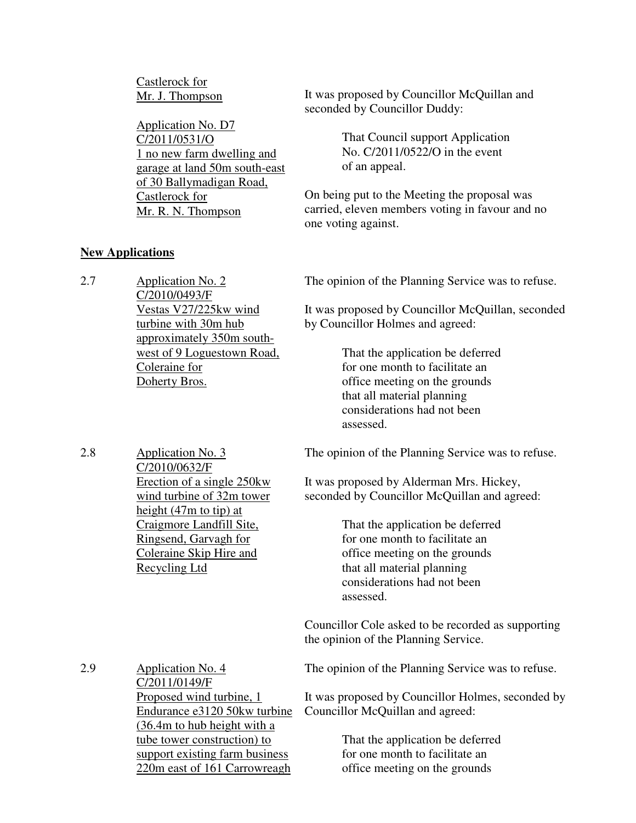Castlerock for Mr. J. Thompson

**New Applications**

Application No. D7 C/2011/0531/O 1 no new farm dwelling and garage at land 50m south-east of 30 Ballymadigan Road, Castlerock for Mr. R. N. Thompson

It was proposed by Councillor McQuillan and seconded by Councillor Duddy:

> That Council support Application No. C/2011/0522/O in the event of an appeal.

On being put to the Meeting the proposal was carried, eleven members voting in favour and no one voting against.

| 2.7 | Application No. 2<br>C/2010/0493/F                                                                   | The opinion of the Planning Service was to refuse.                                                                                                                            |
|-----|------------------------------------------------------------------------------------------------------|-------------------------------------------------------------------------------------------------------------------------------------------------------------------------------|
|     | Vestas V27/225kw wind<br>turbine with 30m hub<br>approximately 350m south-                           | It was proposed by Councillor McQuillan, seconded<br>by Councillor Holmes and agreed:                                                                                         |
|     | west of 9 Loguestown Road,<br>Coleraine for<br>Doherty Bros.                                         | That the application be deferred<br>for one month to facilitate an<br>office meeting on the grounds<br>that all material planning<br>considerations had not been<br>assessed. |
| 2.8 | Application No. 3<br>C/2010/0632/F                                                                   | The opinion of the Planning Service was to refuse.                                                                                                                            |
|     | Erection of a single 250kw<br>wind turbine of 32m tower<br>height $(47m)$ to tip) at                 | It was proposed by Alderman Mrs. Hickey,<br>seconded by Councillor McQuillan and agreed:                                                                                      |
|     | Craigmore Landfill Site,<br>Ringsend, Garvagh for<br>Coleraine Skip Hire and<br><b>Recycling Ltd</b> | That the application be deferred<br>for one month to facilitate an<br>office meeting on the grounds<br>that all material planning<br>considerations had not been<br>assessed. |
|     |                                                                                                      | Councillor Cole asked to be recorded as supporting<br>the opinion of the Planning Service.                                                                                    |
| 2.9 | Application No. 4<br>C/2011/0149/F                                                                   | The opinion of the Planning Service was to refuse.                                                                                                                            |
|     | Proposed wind turbine, 1<br>Endurance e3120 50kw turbine<br>$(36.4m)$ to hub height with a           | It was proposed by Councillor Holmes, seconded by<br>Councillor McQuillan and agreed:                                                                                         |
|     | tube tower construction) to<br>support existing farm business<br>220m east of 161 Carrowreagh        | That the application be deferred<br>for one month to facilitate an<br>office meeting on the grounds                                                                           |
|     |                                                                                                      |                                                                                                                                                                               |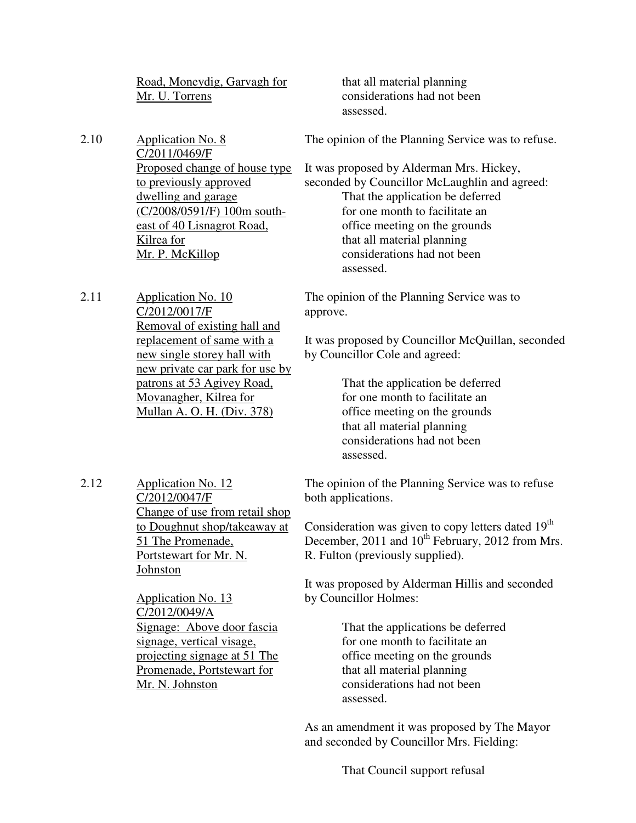Road, Moneydig, Garvagh for Mr. U. Torrens

 that all material planning considerations had not been assessed.

2.10 Application No. 8 C/2011/0469/F Proposed change of house type to previously approved dwelling and garage (C/2008/0591/F) 100m southeast of 40 Lisnagrot Road, Kilrea for Mr. P. McKillop

2.11 Application No. 10 C/2012/0017/F Removal of existing hall and replacement of same with a new single storey hall with new private car park for use by patrons at 53 Agivey Road, Movanagher, Kilrea for Mullan A. O. H. (Div. 378)

The opinion of the Planning Service was to refuse.

It was proposed by Alderman Mrs. Hickey, seconded by Councillor McLaughlin and agreed: That the application be deferred for one month to facilitate an office meeting on the grounds that all material planning considerations had not been assessed.

The opinion of the Planning Service was to approve.

It was proposed by Councillor McQuillan, seconded by Councillor Cole and agreed:

> That the application be deferred for one month to facilitate an office meeting on the grounds that all material planning considerations had not been assessed.

2.12 Application No. 12 C/2012/0047/F Change of use from retail shop to Doughnut shop/takeaway at 51 The Promenade, Portstewart for Mr. N. Johnston

> Application No. 13 C/2012/0049/A Signage: Above door fascia signage, vertical visage, projecting signage at 51 The Promenade, Portstewart for Mr. N. Johnston

The opinion of the Planning Service was to refuse both applications.

Consideration was given to copy letters dated  $19<sup>th</sup>$ December,  $2011$  and  $10<sup>th</sup>$  February,  $2012$  from Mrs. R. Fulton (previously supplied).

It was proposed by Alderman Hillis and seconded by Councillor Holmes:

> That the applications be deferred for one month to facilitate an office meeting on the grounds that all material planning considerations had not been assessed.

As an amendment it was proposed by The Mayor and seconded by Councillor Mrs. Fielding:

That Council support refusal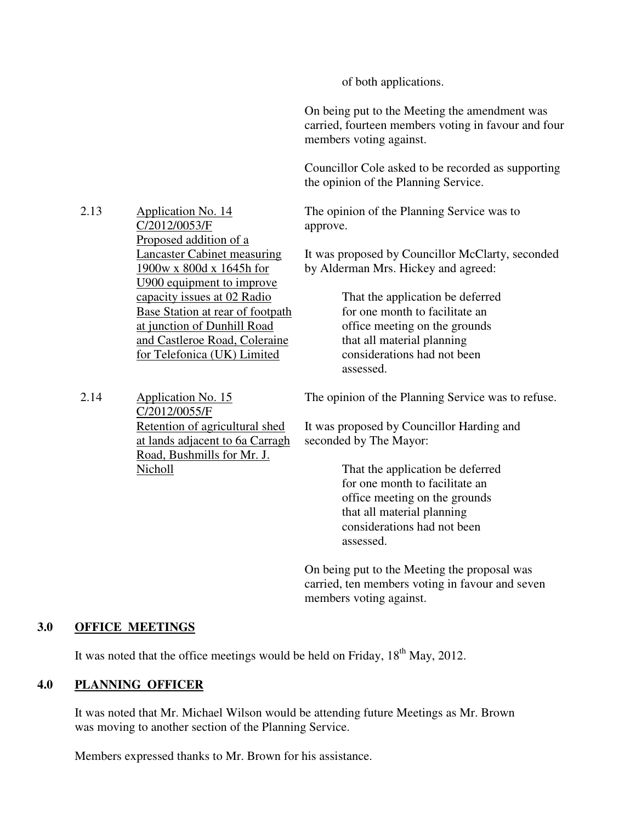of both applications.

On being put to the Meeting the amendment was carried, fourteen members voting in favour and four members voting against.

Councillor Cole asked to be recorded as supporting the opinion of the Planning Service.

The opinion of the Planning Service was to approve.

It was proposed by Councillor McClarty, seconded by Alderman Mrs. Hickey and agreed:

> That the application be deferred for one month to facilitate an office meeting on the grounds that all material planning considerations had not been assessed.

2.14 Application No. 15 C/2012/0055/F Retention of agricultural shed at lands adjacent to 6a Carragh Road, Bushmills for Mr. J. Nicholl

2.13 Application No. 14

C/2012/0053/F

Proposed addition of a

Lancaster Cabinet measuring 1900w x 800d x 1645h for U900 equipment to improve capacity issues at 02 Radio Base Station at rear of footpath at junction of Dunhill Road and Castleroe Road, Coleraine for Telefonica (UK) Limited

The opinion of the Planning Service was to refuse.

It was proposed by Councillor Harding and seconded by The Mayor:

> That the application be deferred for one month to facilitate an office meeting on the grounds that all material planning considerations had not been assessed.

On being put to the Meeting the proposal was carried, ten members voting in favour and seven members voting against.

## **3.0 OFFICE MEETINGS**

It was noted that the office meetings would be held on Friday,  $18<sup>th</sup>$  May, 2012.

# **4.0 PLANNING OFFICER**

 It was noted that Mr. Michael Wilson would be attending future Meetings as Mr. Brown was moving to another section of the Planning Service.

Members expressed thanks to Mr. Brown for his assistance.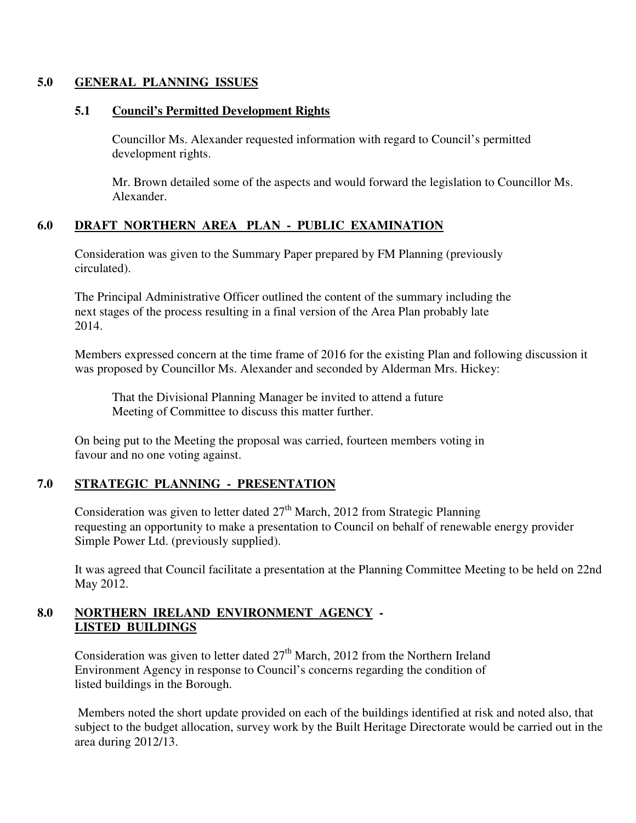## **5.0 GENERAL PLANNING ISSUES**

## **5.1 Council's Permitted Development Rights**

 Councillor Ms. Alexander requested information with regard to Council's permitted development rights.

Mr. Brown detailed some of the aspects and would forward the legislation to Councillor Ms. Alexander.

# **6.0 DRAFT NORTHERN AREA PLAN - PUBLIC EXAMINATION**

 Consideration was given to the Summary Paper prepared by FM Planning (previously circulated).

 The Principal Administrative Officer outlined the content of the summary including the next stages of the process resulting in a final version of the Area Plan probably late 2014.

Members expressed concern at the time frame of 2016 for the existing Plan and following discussion it was proposed by Councillor Ms. Alexander and seconded by Alderman Mrs. Hickey:

 That the Divisional Planning Manager be invited to attend a future Meeting of Committee to discuss this matter further.

 On being put to the Meeting the proposal was carried, fourteen members voting in favour and no one voting against.

# **7.0 STRATEGIC PLANNING - PRESENTATION**

Consideration was given to letter dated  $27<sup>th</sup>$  March, 2012 from Strategic Planning requesting an opportunity to make a presentation to Council on behalf of renewable energy provider Simple Power Ltd. (previously supplied).

It was agreed that Council facilitate a presentation at the Planning Committee Meeting to be held on 22nd May 2012.

## **8.0 NORTHERN IRELAND ENVIRONMENT AGENCY - LISTED BUILDINGS**

Consideration was given to letter dated  $27<sup>th</sup>$  March, 2012 from the Northern Ireland Environment Agency in response to Council's concerns regarding the condition of listed buildings in the Borough.

Members noted the short update provided on each of the buildings identified at risk and noted also, that subject to the budget allocation, survey work by the Built Heritage Directorate would be carried out in the area during 2012/13.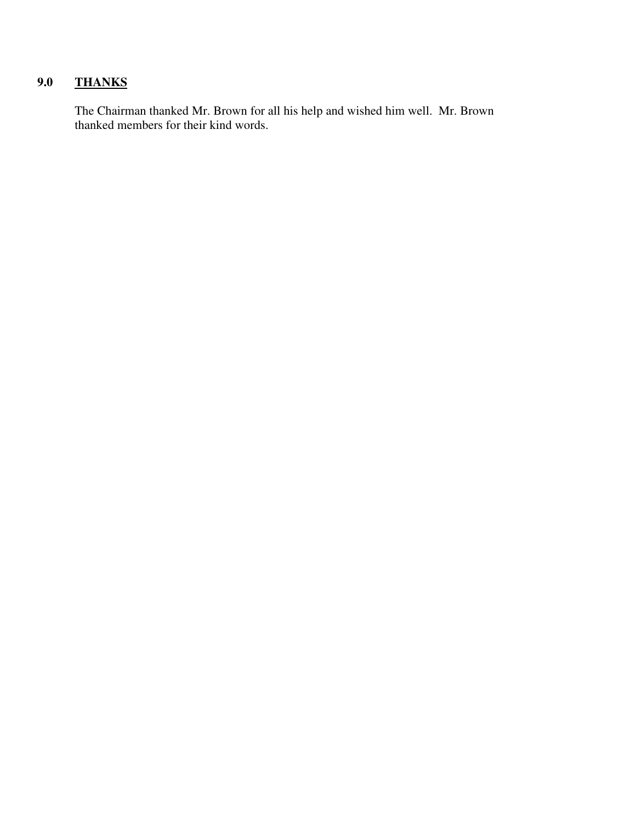# **9.0 THANKS**

 The Chairman thanked Mr. Brown for all his help and wished him well. Mr. Brown thanked members for their kind words.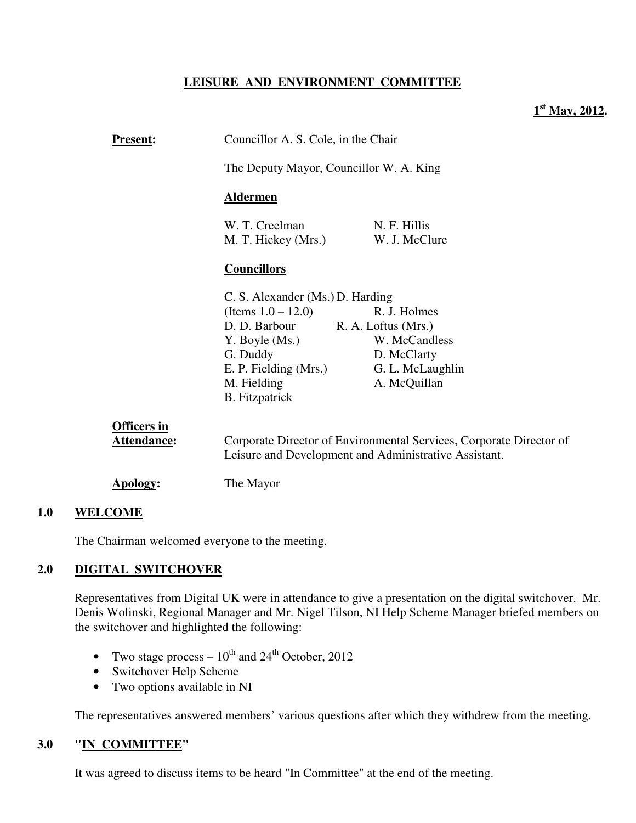# **LEISURE AND ENVIRONMENT COMMITTEE**

# **1 st May, 2012.**

| <b>Present:</b>    | Councillor A. S. Cole, in the Chair                                                                                          |                               |  |
|--------------------|------------------------------------------------------------------------------------------------------------------------------|-------------------------------|--|
|                    | The Deputy Mayor, Councillor W. A. King<br><u>Aldermen</u>                                                                   |                               |  |
|                    |                                                                                                                              |                               |  |
|                    | W. T. Creelman<br>M. T. Hickey (Mrs.)                                                                                        | N. F. Hillis<br>W. J. McClure |  |
|                    | <b>Councillors</b>                                                                                                           |                               |  |
|                    | C. S. Alexander (Ms.) D. Harding                                                                                             |                               |  |
|                    | (Items $1.0 - 12.0$ )                                                                                                        | R. J. Holmes                  |  |
|                    | D. D. Barbour                                                                                                                | R. A. Loftus (Mrs.)           |  |
|                    | Y. Boyle (Ms.)                                                                                                               | W. McCandless                 |  |
|                    | G. Duddy                                                                                                                     | D. McClarty                   |  |
|                    | E. P. Fielding (Mrs.)                                                                                                        | G. L. McLaughlin              |  |
|                    | M. Fielding                                                                                                                  | A. McQuillan                  |  |
|                    | <b>B.</b> Fitzpatrick                                                                                                        |                               |  |
| <b>Officers</b> in |                                                                                                                              |                               |  |
| Attendance:        | Corporate Director of Environmental Services, Corporate Director of<br>Leisure and Development and Administrative Assistant. |                               |  |

**Apology:** The Mayor

#### **1.0 WELCOME**

The Chairman welcomed everyone to the meeting.

## **2.0 DIGITAL SWITCHOVER**

Representatives from Digital UK were in attendance to give a presentation on the digital switchover. Mr. Denis Wolinski, Regional Manager and Mr. Nigel Tilson, NI Help Scheme Manager briefed members on the switchover and highlighted the following:

- Two stage process  $-10^{th}$  and  $24^{th}$  October, 2012
- Switchover Help Scheme
- Two options available in NI

The representatives answered members' various questions after which they withdrew from the meeting.

## **3.0 "IN COMMITTEE"**

It was agreed to discuss items to be heard "In Committee" at the end of the meeting.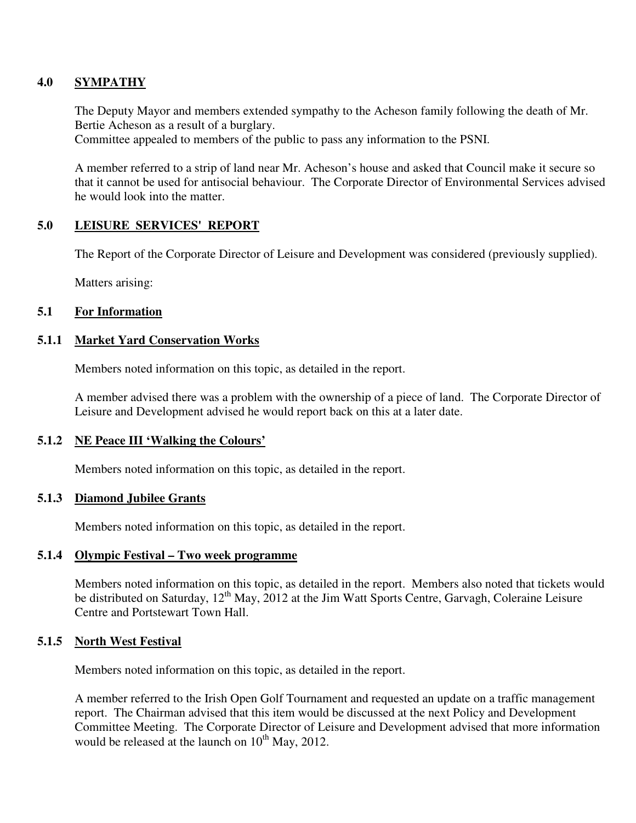## **4.0 SYMPATHY**

The Deputy Mayor and members extended sympathy to the Acheson family following the death of Mr. Bertie Acheson as a result of a burglary.

Committee appealed to members of the public to pass any information to the PSNI.

A member referred to a strip of land near Mr. Acheson's house and asked that Council make it secure so that it cannot be used for antisocial behaviour. The Corporate Director of Environmental Services advised he would look into the matter.

## **5.0 LEISURE SERVICES' REPORT**

The Report of the Corporate Director of Leisure and Development was considered (previously supplied).

Matters arising:

## **5.1 For Information**

#### **5.1.1 Market Yard Conservation Works**

Members noted information on this topic, as detailed in the report.

A member advised there was a problem with the ownership of a piece of land. The Corporate Director of Leisure and Development advised he would report back on this at a later date.

## **5.1.2 NE Peace III 'Walking the Colours'**

Members noted information on this topic, as detailed in the report.

## **5.1.3 Diamond Jubilee Grants**

Members noted information on this topic, as detailed in the report.

#### **5.1.4 Olympic Festival – Two week programme**

Members noted information on this topic, as detailed in the report. Members also noted that tickets would be distributed on Saturday, 12<sup>th</sup> May, 2012 at the Jim Watt Sports Centre, Garvagh, Coleraine Leisure Centre and Portstewart Town Hall.

#### **5.1.5 North West Festival**

Members noted information on this topic, as detailed in the report.

A member referred to the Irish Open Golf Tournament and requested an update on a traffic management report. The Chairman advised that this item would be discussed at the next Policy and Development Committee Meeting. The Corporate Director of Leisure and Development advised that more information would be released at the launch on  $10^{th}$  May, 2012.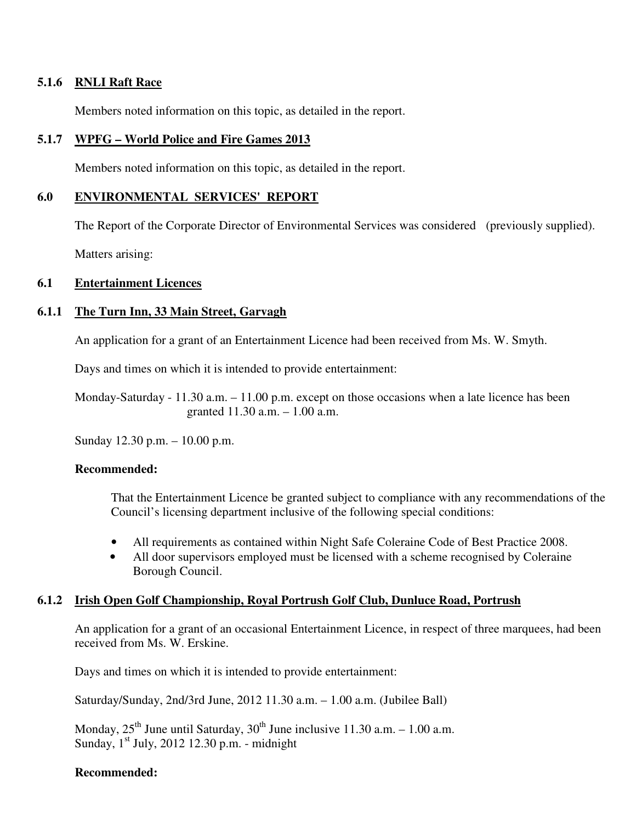## **5.1.6 RNLI Raft Race**

Members noted information on this topic, as detailed in the report.

## **5.1.7 WPFG – World Police and Fire Games 2013**

Members noted information on this topic, as detailed in the report.

## **6.0 ENVIRONMENTAL SERVICES' REPORT**

The Report of the Corporate Director of Environmental Services was considered (previously supplied).

Matters arising:

## **6.1 Entertainment Licences**

# **6.1.1 The Turn Inn, 33 Main Street, Garvagh**

An application for a grant of an Entertainment Licence had been received from Ms. W. Smyth.

Days and times on which it is intended to provide entertainment:

 Monday-Saturday - 11.30 a.m. – 11.00 p.m. except on those occasions when a late licence has been granted 11.30 a.m. – 1.00 a.m.

Sunday 12.30 p.m. – 10.00 p.m.

## **Recommended:**

That the Entertainment Licence be granted subject to compliance with any recommendations of the Council's licensing department inclusive of the following special conditions:

- All requirements as contained within Night Safe Coleraine Code of Best Practice 2008.
- All door supervisors employed must be licensed with a scheme recognised by Coleraine Borough Council.

# **6.1.2 Irish Open Golf Championship, Royal Portrush Golf Club, Dunluce Road, Portrush**

An application for a grant of an occasional Entertainment Licence, in respect of three marquees, had been received from Ms. W. Erskine.

Days and times on which it is intended to provide entertainment:

Saturday/Sunday, 2nd/3rd June, 2012 11.30 a.m. – 1.00 a.m. (Jubilee Ball)

Monday,  $25<sup>th</sup>$  June until Saturday,  $30<sup>th</sup>$  June inclusive 11.30 a.m. – 1.00 a.m. Sunday,  $1<sup>st</sup>$  July, 2012 12.30 p.m. - midnight

## **Recommended:**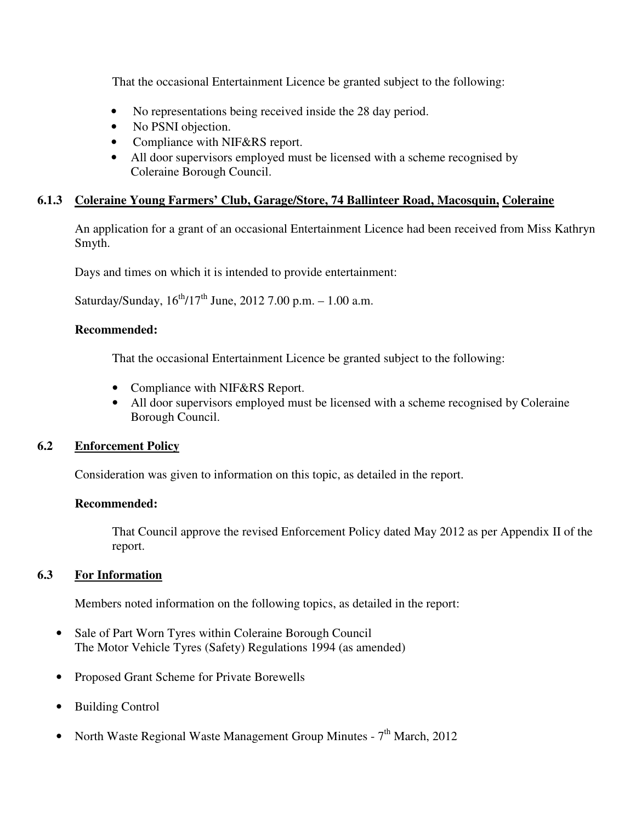That the occasional Entertainment Licence be granted subject to the following:

- No representations being received inside the 28 day period.
- No PSNI objection.
- Compliance with NIF&RS report.
- All door supervisors employed must be licensed with a scheme recognised by Coleraine Borough Council.

# **6.1.3 Coleraine Young Farmers' Club, Garage/Store, 74 Ballinteer Road, Macosquin, Coleraine**

An application for a grant of an occasional Entertainment Licence had been received from Miss Kathryn Smyth.

Days and times on which it is intended to provide entertainment:

Saturday/Sunday,  $16^{th}/17^{th}$  June, 2012 7.00 p.m.  $- 1.00$  a.m.

## **Recommended:**

That the occasional Entertainment Licence be granted subject to the following:

- Compliance with NIF&RS Report.
- All door supervisors employed must be licensed with a scheme recognised by Coleraine Borough Council.

# **6.2 Enforcement Policy**

Consideration was given to information on this topic, as detailed in the report.

## **Recommended:**

That Council approve the revised Enforcement Policy dated May 2012 as per Appendix II of the report.

# **6.3 For Information**

Members noted information on the following topics, as detailed in the report:

- Sale of Part Worn Tyres within Coleraine Borough Council The Motor Vehicle Tyres (Safety) Regulations 1994 (as amended)
- Proposed Grant Scheme for Private Borewells
- **Building Control**
- North Waste Regional Waste Management Group Minutes  $7<sup>th</sup>$  March, 2012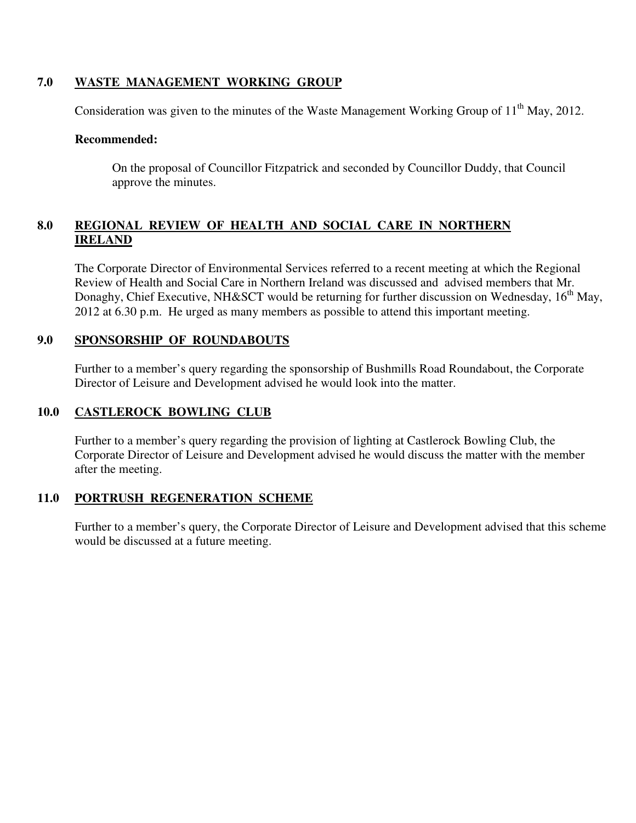# **7.0 WASTE MANAGEMENT WORKING GROUP**

Consideration was given to the minutes of the Waste Management Working Group of  $11<sup>th</sup>$  May, 2012.

#### **Recommended:**

On the proposal of Councillor Fitzpatrick and seconded by Councillor Duddy, that Council approve the minutes.

# **8.0 REGIONAL REVIEW OF HEALTH AND SOCIAL CARE IN NORTHERN IRELAND**

The Corporate Director of Environmental Services referred to a recent meeting at which the Regional Review of Health and Social Care in Northern Ireland was discussed and advised members that Mr. Donaghy, Chief Executive, NH&SCT would be returning for further discussion on Wednesday,  $16<sup>th</sup>$  May, 2012 at 6.30 p.m. He urged as many members as possible to attend this important meeting.

# **9.0 SPONSORSHIP OF ROUNDABOUTS**

Further to a member's query regarding the sponsorship of Bushmills Road Roundabout, the Corporate Director of Leisure and Development advised he would look into the matter.

# **10.0 CASTLEROCK BOWLING CLUB**

Further to a member's query regarding the provision of lighting at Castlerock Bowling Club, the Corporate Director of Leisure and Development advised he would discuss the matter with the member after the meeting.

# **11.0 PORTRUSH REGENERATION SCHEME**

Further to a member's query, the Corporate Director of Leisure and Development advised that this scheme would be discussed at a future meeting.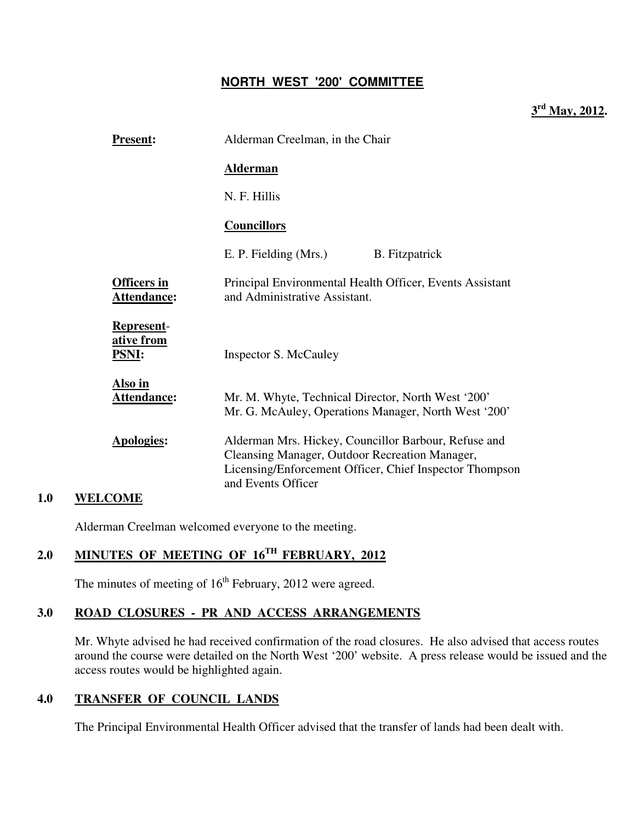# **NORTH WEST '200' COMMITTEE**

**3 rd May, 2012.** 

|     | <b>Present:</b>                          | Alderman Creelman, in the Chair                                                                                                                                                         |  |
|-----|------------------------------------------|-----------------------------------------------------------------------------------------------------------------------------------------------------------------------------------------|--|
|     |                                          | <b>Alderman</b>                                                                                                                                                                         |  |
|     |                                          | N. F. Hillis                                                                                                                                                                            |  |
|     |                                          | <b>Councillors</b>                                                                                                                                                                      |  |
|     |                                          | E. P. Fielding (Mrs.)<br><b>B.</b> Fitzpatrick                                                                                                                                          |  |
|     | <b>Officers in</b><br>Attendance:        | Principal Environmental Health Officer, Events Assistant<br>and Administrative Assistant.                                                                                               |  |
|     | Represent-<br>ative from<br><u>PSNI:</u> | Inspector S. McCauley                                                                                                                                                                   |  |
|     | Also in<br>Attendance:                   | Mr. M. Whyte, Technical Director, North West '200'<br>Mr. G. McAuley, Operations Manager, North West '200'                                                                              |  |
|     | <b>Apologies:</b>                        | Alderman Mrs. Hickey, Councillor Barbour, Refuse and<br>Cleansing Manager, Outdoor Recreation Manager,<br>Licensing/Enforcement Officer, Chief Inspector Thompson<br>and Events Officer |  |
| 1 A | $\mathbf{W}$ $\mathbf{W}$                |                                                                                                                                                                                         |  |

## **1.0 WELCOME**

Alderman Creelman welcomed everyone to the meeting.

# **2.0 MINUTES OF MEETING OF 16TH FEBRUARY, 2012**

The minutes of meeting of  $16<sup>th</sup>$  February, 2012 were agreed.

# **3.0 ROAD CLOSURES - PR AND ACCESS ARRANGEMENTS**

Mr. Whyte advised he had received confirmation of the road closures. He also advised that access routes around the course were detailed on the North West '200' website. A press release would be issued and the access routes would be highlighted again.

# **4.0 TRANSFER OF COUNCIL LANDS**

The Principal Environmental Health Officer advised that the transfer of lands had been dealt with.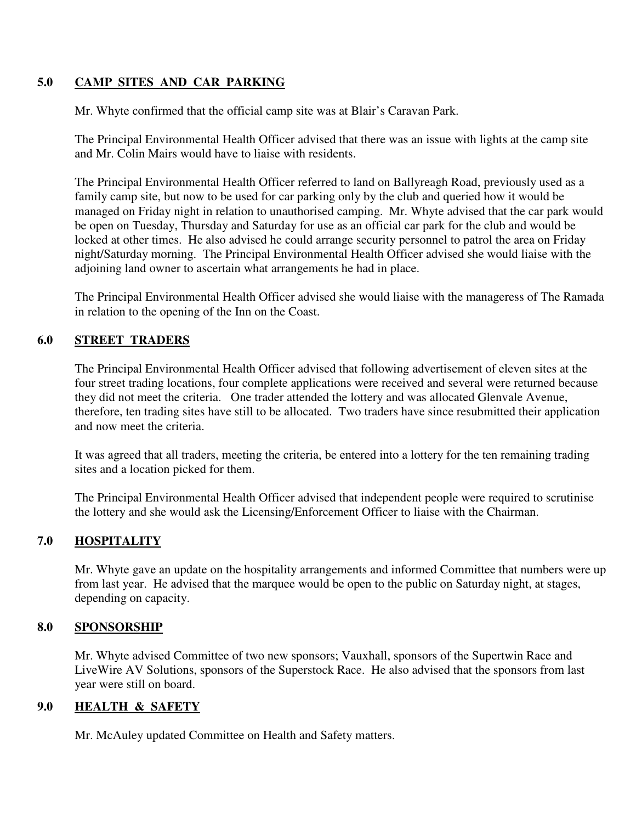# **5.0 CAMP SITES AND CAR PARKING**

Mr. Whyte confirmed that the official camp site was at Blair's Caravan Park.

The Principal Environmental Health Officer advised that there was an issue with lights at the camp site and Mr. Colin Mairs would have to liaise with residents.

The Principal Environmental Health Officer referred to land on Ballyreagh Road, previously used as a family camp site, but now to be used for car parking only by the club and queried how it would be managed on Friday night in relation to unauthorised camping. Mr. Whyte advised that the car park would be open on Tuesday, Thursday and Saturday for use as an official car park for the club and would be locked at other times. He also advised he could arrange security personnel to patrol the area on Friday night/Saturday morning. The Principal Environmental Health Officer advised she would liaise with the adjoining land owner to ascertain what arrangements he had in place.

The Principal Environmental Health Officer advised she would liaise with the manageress of The Ramada in relation to the opening of the Inn on the Coast.

## **6.0 STREET TRADERS**

The Principal Environmental Health Officer advised that following advertisement of eleven sites at the four street trading locations, four complete applications were received and several were returned because they did not meet the criteria. One trader attended the lottery and was allocated Glenvale Avenue, therefore, ten trading sites have still to be allocated. Two traders have since resubmitted their application and now meet the criteria.

It was agreed that all traders, meeting the criteria, be entered into a lottery for the ten remaining trading sites and a location picked for them.

The Principal Environmental Health Officer advised that independent people were required to scrutinise the lottery and she would ask the Licensing/Enforcement Officer to liaise with the Chairman.

# **7.0 HOSPITALITY**

Mr. Whyte gave an update on the hospitality arrangements and informed Committee that numbers were up from last year. He advised that the marquee would be open to the public on Saturday night, at stages, depending on capacity.

# **8.0 SPONSORSHIP**

Mr. Whyte advised Committee of two new sponsors; Vauxhall, sponsors of the Supertwin Race and LiveWire AV Solutions, sponsors of the Superstock Race. He also advised that the sponsors from last year were still on board.

## **9.0 HEALTH & SAFETY**

Mr. McAuley updated Committee on Health and Safety matters.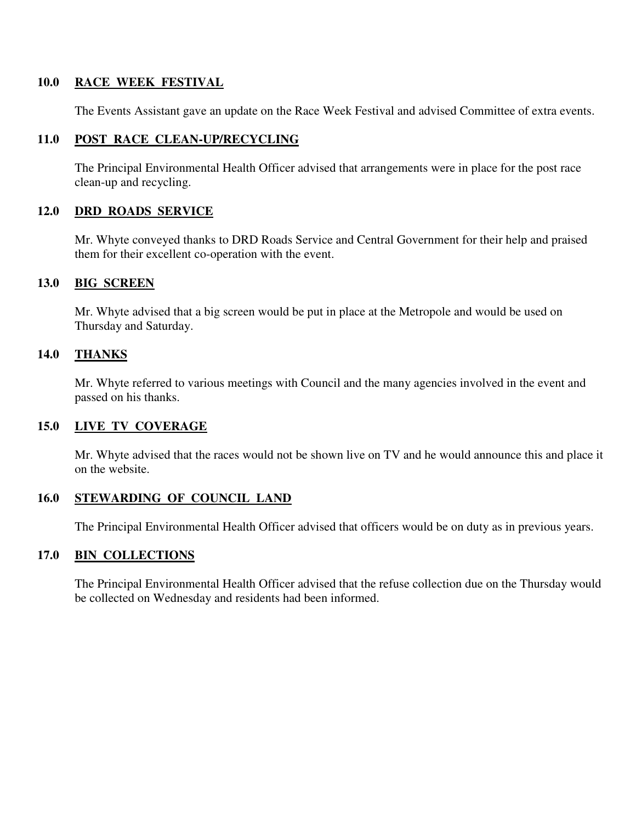## **10.0 RACE WEEK FESTIVAL**

The Events Assistant gave an update on the Race Week Festival and advised Committee of extra events.

# **11.0 POST RACE CLEAN-UP/RECYCLING**

The Principal Environmental Health Officer advised that arrangements were in place for the post race clean-up and recycling.

## **12.0 DRD ROADS SERVICE**

Mr. Whyte conveyed thanks to DRD Roads Service and Central Government for their help and praised them for their excellent co-operation with the event.

## **13.0 BIG SCREEN**

Mr. Whyte advised that a big screen would be put in place at the Metropole and would be used on Thursday and Saturday.

## **14.0 THANKS**

Mr. Whyte referred to various meetings with Council and the many agencies involved in the event and passed on his thanks.

## **15.0 LIVE TV COVERAGE**

Mr. Whyte advised that the races would not be shown live on TV and he would announce this and place it on the website.

## **16.0 STEWARDING OF COUNCIL LAND**

The Principal Environmental Health Officer advised that officers would be on duty as in previous years.

## **17.0 BIN COLLECTIONS**

The Principal Environmental Health Officer advised that the refuse collection due on the Thursday would be collected on Wednesday and residents had been informed.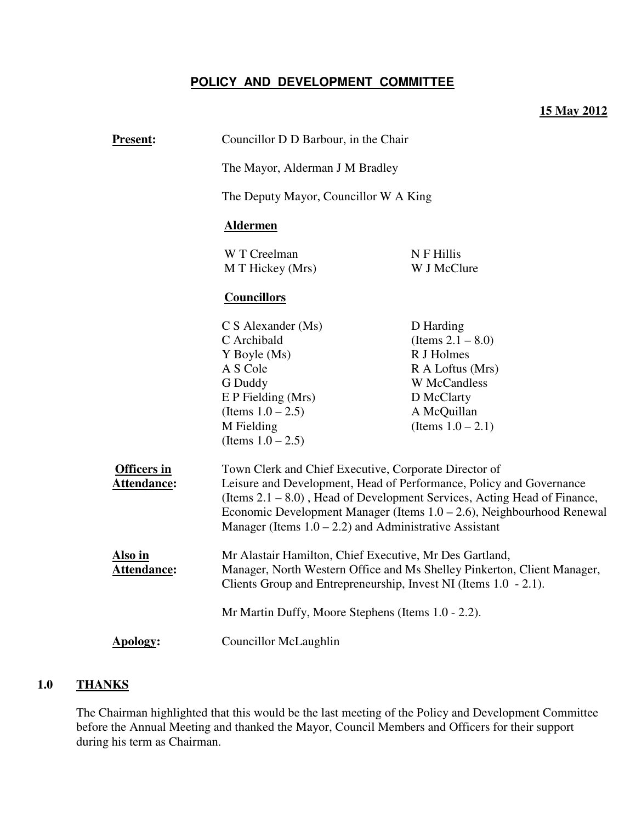# **POLICY AND DEVELOPMENT COMMITTEE**

# **15 May 2012**

| <b>Present:</b>                          | Councillor D D Barbour, in the Chair<br>The Mayor, Alderman J M Bradley                                                                                                                                                 |                                                                                                                                                                                                                                                                                             |  |  |
|------------------------------------------|-------------------------------------------------------------------------------------------------------------------------------------------------------------------------------------------------------------------------|---------------------------------------------------------------------------------------------------------------------------------------------------------------------------------------------------------------------------------------------------------------------------------------------|--|--|
|                                          |                                                                                                                                                                                                                         |                                                                                                                                                                                                                                                                                             |  |  |
|                                          |                                                                                                                                                                                                                         | The Deputy Mayor, Councillor W A King                                                                                                                                                                                                                                                       |  |  |
|                                          | <b>Aldermen</b>                                                                                                                                                                                                         |                                                                                                                                                                                                                                                                                             |  |  |
|                                          | W T Creelman<br>M T Hickey (Mrs)                                                                                                                                                                                        | N F Hillis<br>W J McClure                                                                                                                                                                                                                                                                   |  |  |
|                                          | <b>Councillors</b>                                                                                                                                                                                                      |                                                                                                                                                                                                                                                                                             |  |  |
| <b>Officers</b> in<br><b>Attendance:</b> | $C S$ Alexander (Ms)<br>C Archibald<br>Y Boyle (Ms)<br>A S Cole<br>G Duddy<br>E P Fielding (Mrs)<br>(Items $1.0 - 2.5$ )<br>M Fielding<br>(Items $1.0 - 2.5$ )<br>Town Clerk and Chief Executive, Corporate Director of | D Harding<br>(Items $2.1 - 8.0$ )<br>R J Holmes<br>R A Loftus (Mrs)<br>W McCandless<br>D McClarty<br>A McQuillan<br>(Items $1.0 - 2.1$ )<br>Leisure and Development, Head of Performance, Policy and Governance<br>(Items 2.1 – 8.0), Head of Development Services, Acting Head of Finance, |  |  |
|                                          | Economic Development Manager (Items $1.0 - 2.6$ ), Neighbourhood Renewal<br>Manager (Items $1.0 - 2.2$ ) and Administrative Assistant                                                                                   |                                                                                                                                                                                                                                                                                             |  |  |
| Also in<br>Attendance:                   | Mr Alastair Hamilton, Chief Executive, Mr Des Gartland,<br>Manager, North Western Office and Ms Shelley Pinkerton, Client Manager,<br>Clients Group and Entrepreneurship, Invest NI (Items 1.0 - 2.1).                  |                                                                                                                                                                                                                                                                                             |  |  |
|                                          | Mr Martin Duffy, Moore Stephens (Items 1.0 - 2.2).                                                                                                                                                                      |                                                                                                                                                                                                                                                                                             |  |  |
| <b>Apology:</b>                          | <b>Councillor McLaughlin</b>                                                                                                                                                                                            |                                                                                                                                                                                                                                                                                             |  |  |

# **1.0 THANKS**

The Chairman highlighted that this would be the last meeting of the Policy and Development Committee before the Annual Meeting and thanked the Mayor, Council Members and Officers for their support during his term as Chairman.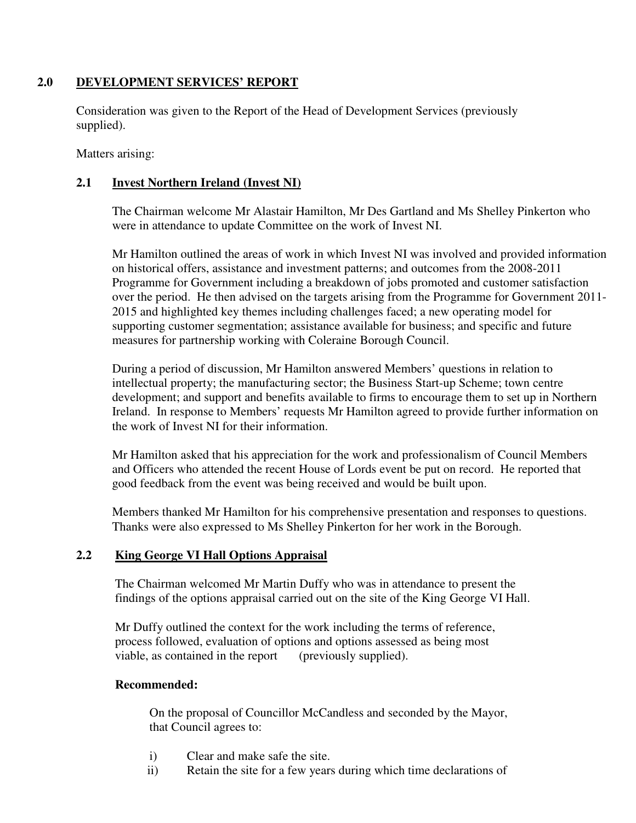# **2.0 DEVELOPMENT SERVICES' REPORT**

 Consideration was given to the Report of the Head of Development Services (previously supplied).

Matters arising:

# **2.1 Invest Northern Ireland (Invest NI)**

The Chairman welcome Mr Alastair Hamilton, Mr Des Gartland and Ms Shelley Pinkerton who were in attendance to update Committee on the work of Invest NI.

 Mr Hamilton outlined the areas of work in which Invest NI was involved and provided information on historical offers, assistance and investment patterns; and outcomes from the 2008-2011 Programme for Government including a breakdown of jobs promoted and customer satisfaction over the period. He then advised on the targets arising from the Programme for Government 2011- 2015 and highlighted key themes including challenges faced; a new operating model for supporting customer segmentation; assistance available for business; and specific and future measures for partnership working with Coleraine Borough Council.

 During a period of discussion, Mr Hamilton answered Members' questions in relation to intellectual property; the manufacturing sector; the Business Start-up Scheme; town centre development; and support and benefits available to firms to encourage them to set up in Northern Ireland. In response to Members' requests Mr Hamilton agreed to provide further information on the work of Invest NI for their information.

 Mr Hamilton asked that his appreciation for the work and professionalism of Council Members and Officers who attended the recent House of Lords event be put on record. He reported that good feedback from the event was being received and would be built upon.

 Members thanked Mr Hamilton for his comprehensive presentation and responses to questions. Thanks were also expressed to Ms Shelley Pinkerton for her work in the Borough.

# **2.2 King George VI Hall Options Appraisal**

The Chairman welcomed Mr Martin Duffy who was in attendance to present the findings of the options appraisal carried out on the site of the King George VI Hall.

Mr Duffy outlined the context for the work including the terms of reference, process followed, evaluation of options and options assessed as being most viable, as contained in the report (previously supplied).

## **Recommended:**

On the proposal of Councillor McCandless and seconded by the Mayor, that Council agrees to:

- i) Clear and make safe the site.
- ii) Retain the site for a few years during which time declarations of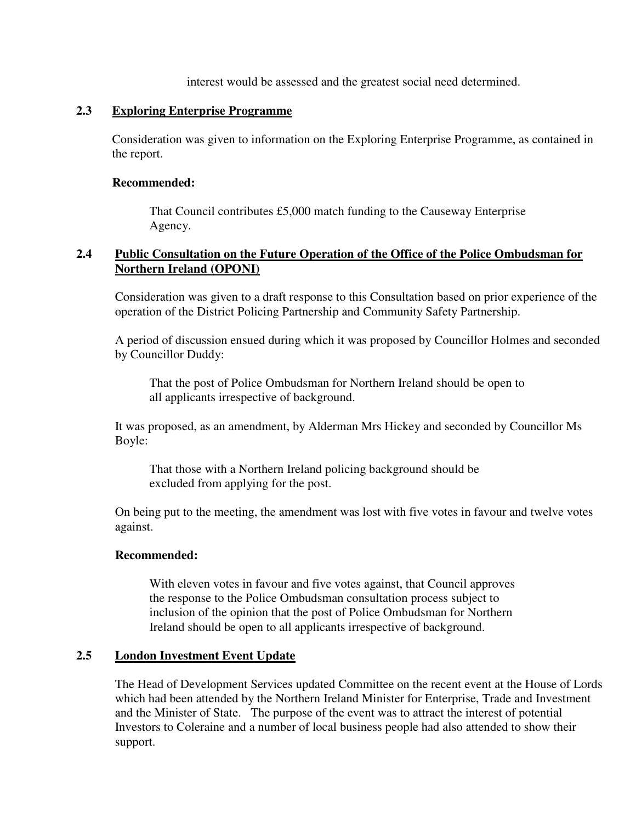interest would be assessed and the greatest social need determined.

## **2.3 Exploring Enterprise Programme**

Consideration was given to information on the Exploring Enterprise Programme, as contained in the report.

## **Recommended:**

That Council contributes £5,000 match funding to the Causeway Enterprise Agency.

# **2.4 Public Consultation on the Future Operation of the Office of the Police Ombudsman for Northern Ireland (OPONI)**

Consideration was given to a draft response to this Consultation based on prior experience of the operation of the District Policing Partnership and Community Safety Partnership.

A period of discussion ensued during which it was proposed by Councillor Holmes and seconded by Councillor Duddy:

 That the post of Police Ombudsman for Northern Ireland should be open to all applicants irrespective of background.

It was proposed, as an amendment, by Alderman Mrs Hickey and seconded by Councillor Ms Boyle:

 That those with a Northern Ireland policing background should be excluded from applying for the post.

On being put to the meeting, the amendment was lost with five votes in favour and twelve votes against.

## **Recommended:**

 With eleven votes in favour and five votes against, that Council approves the response to the Police Ombudsman consultation process subject to inclusion of the opinion that the post of Police Ombudsman for Northern Ireland should be open to all applicants irrespective of background.

# **2.5 London Investment Event Update**

The Head of Development Services updated Committee on the recent event at the House of Lords which had been attended by the Northern Ireland Minister for Enterprise, Trade and Investment and the Minister of State. The purpose of the event was to attract the interest of potential Investors to Coleraine and a number of local business people had also attended to show their support.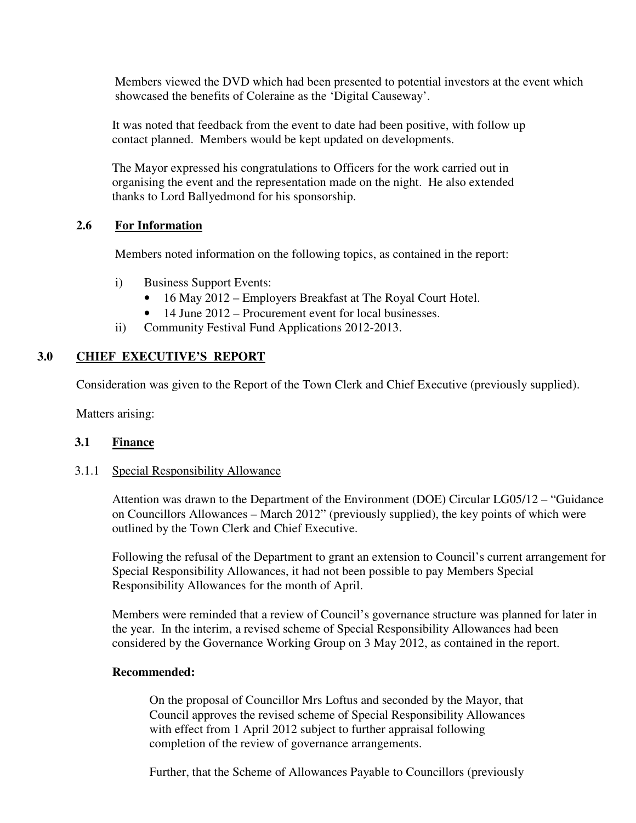Members viewed the DVD which had been presented to potential investors at the event which showcased the benefits of Coleraine as the 'Digital Causeway'.

 It was noted that feedback from the event to date had been positive, with follow up contact planned. Members would be kept updated on developments.

The Mayor expressed his congratulations to Officers for the work carried out in organising the event and the representation made on the night. He also extended thanks to Lord Ballyedmond for his sponsorship.

## **2.6 For Information**

Members noted information on the following topics, as contained in the report:

- i) Business Support Events:
	- 16 May 2012 Employers Breakfast at The Royal Court Hotel.
	- 14 June 2012 Procurement event for local businesses.
- ii) Community Festival Fund Applications 2012-2013.

## **3.0 CHIEF EXECUTIVE'S REPORT**

Consideration was given to the Report of the Town Clerk and Chief Executive (previously supplied).

Matters arising:

## **3.1 Finance**

## 3.1.1 Special Responsibility Allowance

Attention was drawn to the Department of the Environment (DOE) Circular LG05/12 – "Guidance on Councillors Allowances – March 2012" (previously supplied), the key points of which were outlined by the Town Clerk and Chief Executive.

 Following the refusal of the Department to grant an extension to Council's current arrangement for Special Responsibility Allowances, it had not been possible to pay Members Special Responsibility Allowances for the month of April.

 Members were reminded that a review of Council's governance structure was planned for later in the year. In the interim, a revised scheme of Special Responsibility Allowances had been considered by the Governance Working Group on 3 May 2012, as contained in the report.

## **Recommended:**

 On the proposal of Councillor Mrs Loftus and seconded by the Mayor, that Council approves the revised scheme of Special Responsibility Allowances with effect from 1 April 2012 subject to further appraisal following completion of the review of governance arrangements.

Further, that the Scheme of Allowances Payable to Councillors (previously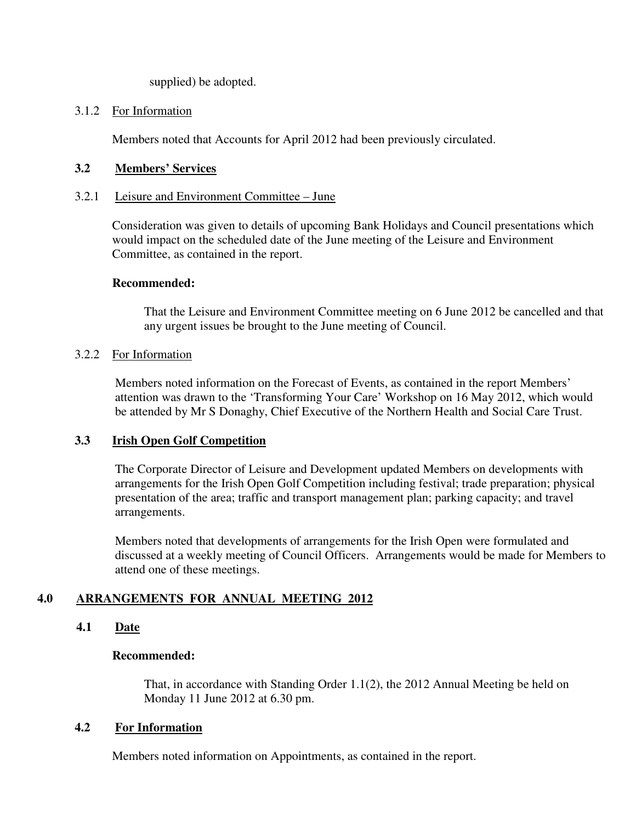supplied) be adopted.

## 3.1.2 For Information

Members noted that Accounts for April 2012 had been previously circulated.

# **3.2 Members' Services**

## 3.2.1 Leisure and Environment Committee – June

 Consideration was given to details of upcoming Bank Holidays and Council presentations which would impact on the scheduled date of the June meeting of the Leisure and Environment Committee, as contained in the report.

## **Recommended:**

That the Leisure and Environment Committee meeting on 6 June 2012 be cancelled and that any urgent issues be brought to the June meeting of Council.

## 3.2.2 For Information

Members noted information on the Forecast of Events, as contained in the report Members' attention was drawn to the 'Transforming Your Care' Workshop on 16 May 2012, which would be attended by Mr S Donaghy, Chief Executive of the Northern Health and Social Care Trust.

## **3.3 Irish Open Golf Competition**

The Corporate Director of Leisure and Development updated Members on developments with arrangements for the Irish Open Golf Competition including festival; trade preparation; physical presentation of the area; traffic and transport management plan; parking capacity; and travel arrangements.

Members noted that developments of arrangements for the Irish Open were formulated and discussed at a weekly meeting of Council Officers. Arrangements would be made for Members to attend one of these meetings.

# **4.0 ARRANGEMENTS FOR ANNUAL MEETING 2012**

# **4.1 Date**

## **Recommended:**

That, in accordance with Standing Order 1.1(2), the 2012 Annual Meeting be held on Monday 11 June 2012 at 6.30 pm.

# **4.2 For Information**

Members noted information on Appointments, as contained in the report.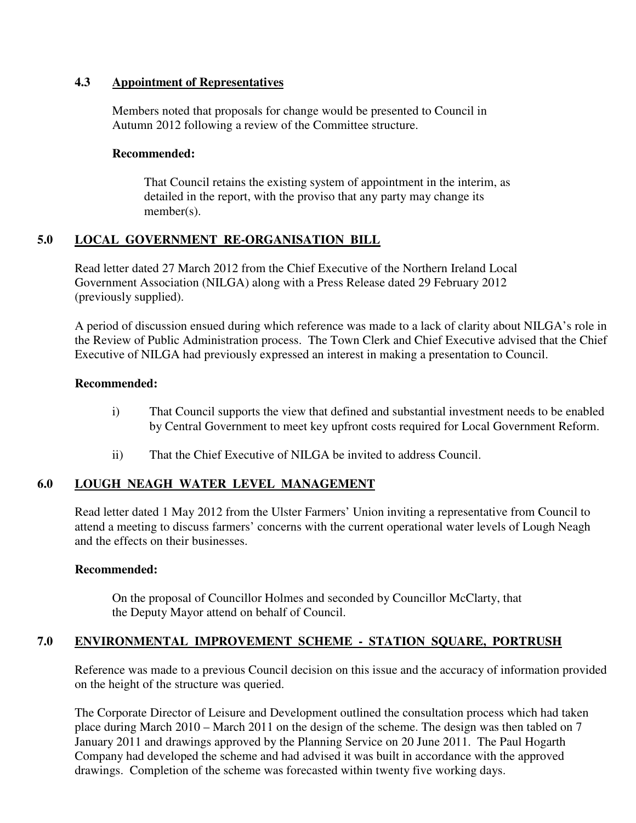## **4.3 Appointment of Representatives**

 Members noted that proposals for change would be presented to Council in Autumn 2012 following a review of the Committee structure.

## **Recommended:**

That Council retains the existing system of appointment in the interim, as detailed in the report, with the proviso that any party may change its member(s).

# **5.0 LOCAL GOVERNMENT RE-ORGANISATION BILL**

 Read letter dated 27 March 2012 from the Chief Executive of the Northern Ireland Local Government Association (NILGA) along with a Press Release dated 29 February 2012 (previously supplied).

A period of discussion ensued during which reference was made to a lack of clarity about NILGA's role in the Review of Public Administration process. The Town Clerk and Chief Executive advised that the Chief Executive of NILGA had previously expressed an interest in making a presentation to Council.

## **Recommended:**

- i) That Council supports the view that defined and substantial investment needs to be enabled by Central Government to meet key upfront costs required for Local Government Reform.
- ii) That the Chief Executive of NILGA be invited to address Council.

# **6.0 LOUGH NEAGH WATER LEVEL MANAGEMENT**

Read letter dated 1 May 2012 from the Ulster Farmers' Union inviting a representative from Council to attend a meeting to discuss farmers' concerns with the current operational water levels of Lough Neagh and the effects on their businesses.

## **Recommended:**

 On the proposal of Councillor Holmes and seconded by Councillor McClarty, that the Deputy Mayor attend on behalf of Council.

# **7.0 ENVIRONMENTAL IMPROVEMENT SCHEME - STATION SQUARE, PORTRUSH**

Reference was made to a previous Council decision on this issue and the accuracy of information provided on the height of the structure was queried.

The Corporate Director of Leisure and Development outlined the consultation process which had taken place during March 2010 – March 2011 on the design of the scheme. The design was then tabled on 7 January 2011 and drawings approved by the Planning Service on 20 June 2011. The Paul Hogarth Company had developed the scheme and had advised it was built in accordance with the approved drawings. Completion of the scheme was forecasted within twenty five working days.